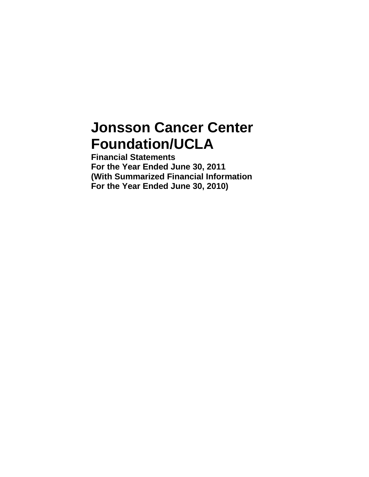# **Jonsson Cancer Center Foundation/UCLA**

**Financial Statements For the Year Ended June 30, 2011 (With Summarized Financial Information For the Year Ended June 30, 2010)**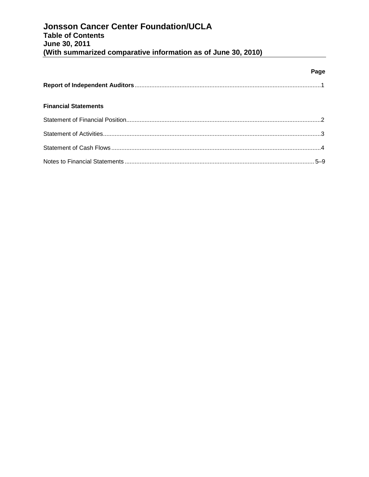|                             | Page |
|-----------------------------|------|
|                             |      |
| <b>Financial Statements</b> |      |
|                             |      |
|                             |      |
|                             |      |
|                             |      |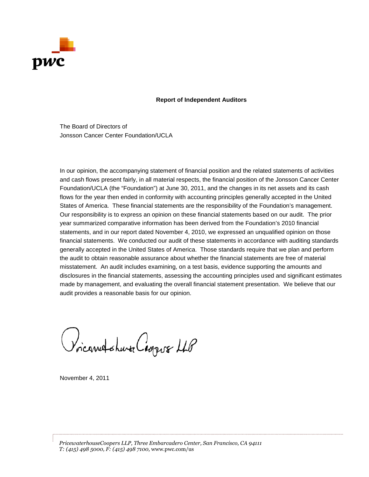

# **Report of Independent Auditors**

The Board of Directors of Jonsson Cancer Center Foundation/UCLA

In our opinion, the accompanying statement of financial position and the related statements of activities and cash flows present fairly, in all material respects, the financial position of the Jonsson Cancer Center Foundation/UCLA (the "Foundation") at June 30, 2011, and the changes in its net assets and its cash flows for the year then ended in conformity with accounting principles generally accepted in the United States of America. These financial statements are the responsibility of the Foundation's management. Our responsibility is to express an opinion on these financial statements based on our audit. The prior year summarized comparative information has been derived from the Foundation's 2010 financial statements, and in our report dated November 4, 2010, we expressed an unqualified opinion on those financial statements. We conducted our audit of these statements in accordance with auditing standards generally accepted in the United States of America. Those standards require that we plan and perform the audit to obtain reasonable assurance about whether the financial statements are free of material misstatement. An audit includes examining, on a test basis, evidence supporting the amounts and disclosures in the financial statements, assessing the accounting principles used and significant estimates made by management, and evaluating the overall financial statement presentation. We believe that our audit provides a reasonable basis for our opinion.

Voicarred chara Coopus LLB

November 4, 2011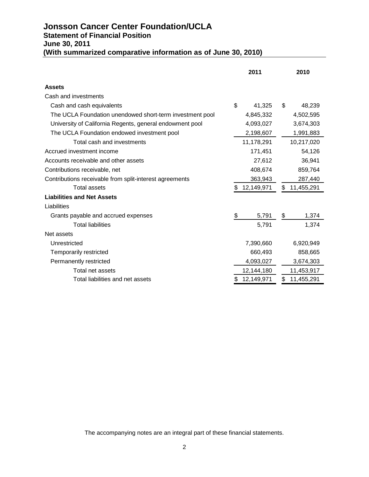# **Jonsson Cancer Center Foundation/UCLA Statement of Financial Position June 30, 2011 (With summarized comparative information as of June 30, 2010)**

|                                                          | 2011             |    | 2010       |
|----------------------------------------------------------|------------------|----|------------|
| <b>Assets</b>                                            |                  |    |            |
| Cash and investments                                     |                  |    |            |
| Cash and cash equivalents                                | \$<br>41,325     | \$ | 48,239     |
| The UCLA Foundation unendowed short-term investment pool | 4,845,332        |    | 4,502,595  |
| University of California Regents, general endowment pool | 4,093,027        |    | 3,674,303  |
| The UCLA Foundation endowed investment pool              | 2,198,607        |    | 1,991,883  |
| Total cash and investments                               | 11,178,291       |    | 10,217,020 |
| Accrued investment income                                | 171,451          |    | 54,126     |
| Accounts receivable and other assets                     | 27,612           |    | 36,941     |
| Contributions receivable, net                            | 408,674          |    | 859,764    |
| Contributions receivable from split-interest agreements  | 363,943          |    | 287,440    |
| <b>Total assets</b>                                      | \$<br>12,149,971 | \$ | 11,455,291 |
| <b>Liabilities and Net Assets</b>                        |                  |    |            |
| Liabilities                                              |                  |    |            |
| Grants payable and accrued expenses                      | \$<br>5,791      | \$ | 1,374      |
| <b>Total liabilities</b>                                 | 5,791            |    | 1,374      |
| Net assets                                               |                  |    |            |
| Unrestricted                                             | 7,390,660        |    | 6,920,949  |
| Temporarily restricted                                   | 660,493          |    | 858,665    |
| Permanently restricted                                   | 4,093,027        |    | 3,674,303  |
| Total net assets                                         | 12,144,180       |    | 11,453,917 |
| Total liabilities and net assets                         | 12,149,971       | S  | 11,455,291 |

The accompanying notes are an integral part of these financial statements.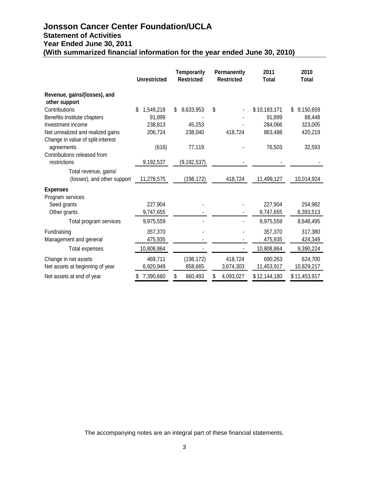# **Jonsson Cancer Center Foundation/UCLA Statement of Activities Year Ended June 30, 2011 (With summarized financial information for the year ended June 30, 2010)**

|                                               | <b>Unrestricted</b> | <b>Temporarily</b><br><b>Restricted</b> | Permanently<br><b>Restricted</b> | 2011<br><b>Total</b> | 2010<br><b>Total</b> |
|-----------------------------------------------|---------------------|-----------------------------------------|----------------------------------|----------------------|----------------------|
| Revenue, gains/(losses), and<br>other support |                     |                                         |                                  |                      |                      |
| Contributions                                 | \$<br>1,549,218     | \$<br>8,633,953                         | \$                               | \$10,183,171         | 9,150,659<br>\$      |
| Benefits-Institute chapters                   | 91,899              |                                         |                                  | 91,899               | 88,448               |
| Investment income                             | 238,813             | 45,253                                  |                                  | 284,066              | 323,005              |
| Net unrealized and realized gains             | 206,724             | 238,040                                 | 418,724                          | 863,488              | 420,219              |
| Change in value of split-interest             |                     |                                         |                                  |                      |                      |
| agreements                                    | (616)               | 77,119                                  |                                  | 76,503               | 32,593               |
| Contributions released from                   |                     |                                         |                                  |                      |                      |
| restrictions                                  | 9,192,537           | (9, 192, 537)                           |                                  |                      |                      |
| Total revenue, gains/                         |                     |                                         |                                  |                      |                      |
| (losses), and other support                   | 11,278,575          | (198, 172)                              | 418,724                          | 11,499,127           | 10,014,924           |
| <b>Expenses</b>                               |                     |                                         |                                  |                      |                      |
| Program services                              |                     |                                         |                                  |                      |                      |
| Seed grants                                   | 227,904             |                                         |                                  | 227,904              | 254,982              |
| Other grants                                  | 9,747,655           |                                         |                                  | 9,747,655            | 8,393,513            |
| Total program services                        | 9,975,559           |                                         |                                  | 9,975,559            | 8,648,495            |
| Fundraising                                   | 357,370             |                                         |                                  | 357,370              | 317,380              |
| Management and general                        | 475,935             |                                         |                                  | 475,935              | 424,349              |
| Total expenses                                | 10,808,864          |                                         |                                  | 10,808,864           | 9,390,224            |
| Change in net assets                          | 469,711             | (198, 172)                              | 418,724                          | 690,263              | 624,700              |
| Net assets at beginning of year               | 6,920,949           | 858,665                                 | 3,674,303                        | 11,453,917           | 10,829,217           |
| Net assets at end of year                     | 7,390,660           | \$<br>660,493                           | \$<br>4,093,027                  | \$12,144,180         | \$11,453,917         |

The accompanying notes are an integral part of these financial statements.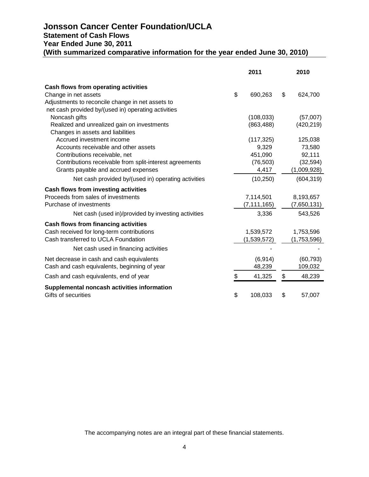# **Jonsson Cancer Center Foundation/UCLA Statement of Cash Flows Year Ended June 30, 2011 (With summarized comparative information for the year ended June 30, 2010)**

|                                                         | 2011 |               | 2010          |  |
|---------------------------------------------------------|------|---------------|---------------|--|
| Cash flows from operating activities                    |      |               |               |  |
| Change in net assets                                    | \$   | 690,263       | \$<br>624,700 |  |
| Adjustments to reconcile change in net assets to        |      |               |               |  |
| net cash provided by/(used in) operating activities     |      |               |               |  |
| Noncash gifts                                           |      | (108, 033)    | (57,007)      |  |
| Realized and unrealized gain on investments             |      | (863, 488)    | (420, 219)    |  |
| Changes in assets and liabilities                       |      |               |               |  |
| Accrued investment income                               |      | (117, 325)    | 125,038       |  |
| Accounts receivable and other assets                    |      | 9,329         | 73,580        |  |
| Contributions receivable, net                           |      | 451,090       | 92,111        |  |
| Contributions receivable from split-interest agreements |      | (76, 503)     | (32, 594)     |  |
| Grants payable and accrued expenses                     |      | 4,417         | (1,009,928)   |  |
| Net cash provided by/(used in) operating activities     |      | (10, 250)     | (604, 319)    |  |
| Cash flows from investing activities                    |      |               |               |  |
| Proceeds from sales of investments                      |      | 7,114,501     | 8,193,657     |  |
| Purchase of investments                                 |      | (7, 111, 165) | (7,650,131)   |  |
| Net cash (used in)/provided by investing activities     |      | 3,336         | 543,526       |  |
| <b>Cash flows from financing activities</b>             |      |               |               |  |
| Cash received for long-term contributions               |      | 1,539,572     | 1,753,596     |  |
| Cash transferred to UCLA Foundation                     |      | (1,539,572)   | (1,753,596)   |  |
| Net cash used in financing activities                   |      |               |               |  |
| Net decrease in cash and cash equivalents               |      | (6, 914)      | (60, 793)     |  |
| Cash and cash equivalents, beginning of year            |      | 48,239        | 109,032       |  |
| Cash and cash equivalents, end of year                  | \$   | 41,325        | \$<br>48,239  |  |
| Supplemental noncash activities information             |      |               |               |  |
| Gifts of securities                                     | \$   | 108,033       | \$<br>57,007  |  |

The accompanying notes are an integral part of these financial statements.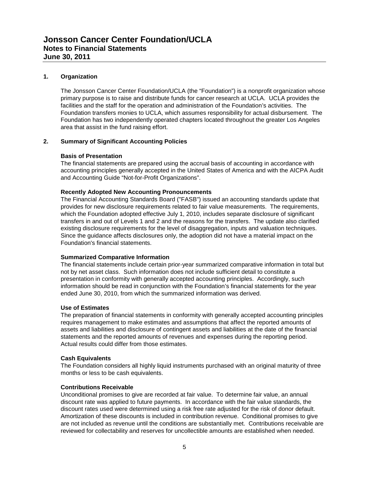# **1. Organization**

The Jonsson Cancer Center Foundation/UCLA (the "Foundation") is a nonprofit organization whose primary purpose is to raise and distribute funds for cancer research at UCLA. UCLA provides the facilities and the staff for the operation and administration of the Foundation's activities. The Foundation transfers monies to UCLA, which assumes responsibility for actual disbursement. The Foundation has two independently operated chapters located throughout the greater Los Angeles area that assist in the fund raising effort.

# **2. Summary of Significant Accounting Policies**

## **Basis of Presentation**

The financial statements are prepared using the accrual basis of accounting in accordance with accounting principles generally accepted in the United States of America and with the AICPA Audit and Accounting Guide "Not-for-Profit Organizations".

# **Recently Adopted New Accounting Pronouncements**

The Financial Accounting Standards Board ("FASB") issued an accounting standards update that provides for new disclosure requirements related to fair value measurements. The requirements, which the Foundation adopted effective July 1, 2010, includes separate disclosure of significant transfers in and out of Levels 1 and 2 and the reasons for the transfers. The update also clarified existing disclosure requirements for the level of disaggregation, inputs and valuation techniques. Since the guidance affects disclosures only, the adoption did not have a material impact on the Foundation's financial statements.

## **Summarized Comparative Information**

The financial statements include certain prior-year summarized comparative information in total but not by net asset class. Such information does not include sufficient detail to constitute a presentation in conformity with generally accepted accounting principles. Accordingly, such information should be read in conjunction with the Foundation's financial statements for the year ended June 30, 2010, from which the summarized information was derived.

# **Use of Estimates**

The preparation of financial statements in conformity with generally accepted accounting principles requires management to make estimates and assumptions that affect the reported amounts of assets and liabilities and disclosure of contingent assets and liabilities at the date of the financial statements and the reported amounts of revenues and expenses during the reporting period. Actual results could differ from those estimates.

## **Cash Equivalents**

The Foundation considers all highly liquid instruments purchased with an original maturity of three months or less to be cash equivalents.

# **Contributions Receivable**

Unconditional promises to give are recorded at fair value. To determine fair value, an annual discount rate was applied to future payments. In accordance with the fair value standards, the discount rates used were determined using a risk free rate adjusted for the risk of donor default. Amortization of these discounts is included in contribution revenue. Conditional promises to give are not included as revenue until the conditions are substantially met. Contributions receivable are reviewed for collectability and reserves for uncollectible amounts are established when needed.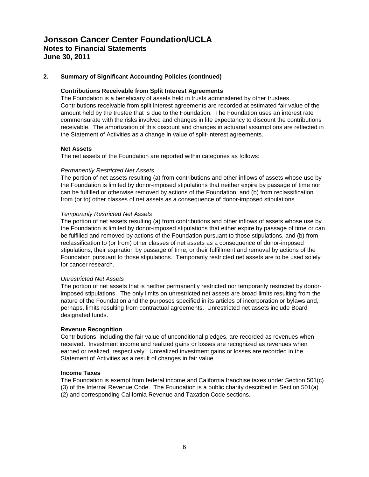# **2. Summary of Significant Accounting Policies (continued)**

#### **Contributions Receivable from Split Interest Agreements**

The Foundation is a beneficiary of assets held in trusts administered by other trustees. Contributions receivable from split interest agreements are recorded at estimated fair value of the amount held by the trustee that is due to the Foundation. The Foundation uses an interest rate commensurate with the risks involved and changes in life expectancy to discount the contributions receivable. The amortization of this discount and changes in actuarial assumptions are reflected in the Statement of Activities as a change in value of split-interest agreements.

#### **Net Assets**

The net assets of the Foundation are reported within categories as follows:

#### *Permanently Restricted Net Assets*

The portion of net assets resulting (a) from contributions and other inflows of assets whose use by the Foundation is limited by donor-imposed stipulations that neither expire by passage of time nor can be fulfilled or otherwise removed by actions of the Foundation, and (b) from reclassification from (or to) other classes of net assets as a consequence of donor-imposed stipulations.

#### *Temporarily Restricted Net Assets*

The portion of net assets resulting (a) from contributions and other inflows of assets whose use by the Foundation is limited by donor-imposed stipulations that either expire by passage of time or can be fulfilled and removed by actions of the Foundation pursuant to those stipulations, and (b) from reclassification to (or from) other classes of net assets as a consequence of donor-imposed stipulations, their expiration by passage of time, or their fulfillment and removal by actions of the Foundation pursuant to those stipulations. Temporarily restricted net assets are to be used solely for cancer research.

#### *Unrestricted Net Assets*

The portion of net assets that is neither permanently restricted nor temporarily restricted by donorimposed stipulations. The only limits on unrestricted net assets are broad limits resulting from the nature of the Foundation and the purposes specified in its articles of incorporation or bylaws and, perhaps, limits resulting from contractual agreements. Unrestricted net assets include Board designated funds.

#### **Revenue Recognition**

Contributions, including the fair value of unconditional pledges, are recorded as revenues when received. Investment income and realized gains or losses are recognized as revenues when earned or realized, respectively. Unrealized investment gains or losses are recorded in the Statement of Activities as a result of changes in fair value.

#### **Income Taxes**

The Foundation is exempt from federal income and California franchise taxes under Section 501(c) (3) of the Internal Revenue Code. The Foundation is a public charity described in Section 501(a) (2) and corresponding California Revenue and Taxation Code sections.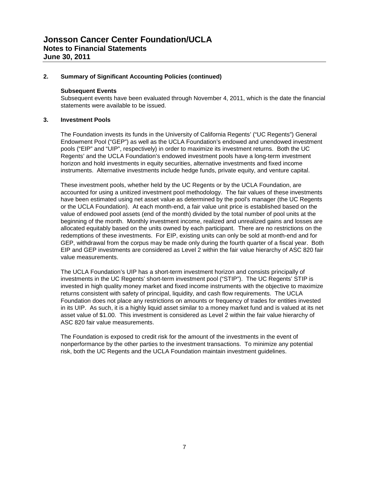# **2. Summary of Significant Accounting Policies (continued)**

#### **Subsequent Events**

Subsequent events have been evaluated through November 4, 2011, which is the date the financial statements were available to be issued.

# **3. Investment Pools**

The Foundation invests its funds in the University of California Regents' ("UC Regents") General Endowment Pool ("GEP") as well as the UCLA Foundation's endowed and unendowed investment pools ("EIP" and "UIP", respectively) in order to maximize its investment returns. Both the UC Regents' and the UCLA Foundation's endowed investment pools have a long-term investment horizon and hold investments in equity securities, alternative investments and fixed income instruments. Alternative investments include hedge funds, private equity, and venture capital.

These investment pools, whether held by the UC Regents or by the UCLA Foundation, are accounted for using a unitized investment pool methodology. The fair values of these investments have been estimated using net asset value as determined by the pool's manager (the UC Regents or the UCLA Foundation). At each month-end, a fair value unit price is established based on the value of endowed pool assets (end of the month) divided by the total number of pool units at the beginning of the month. Monthly investment income, realized and unrealized gains and losses are allocated equitably based on the units owned by each participant. There are no restrictions on the redemptions of these investments. For EIP, existing units can only be sold at month-end and for GEP, withdrawal from the corpus may be made only during the fourth quarter of a fiscal year. Both EIP and GEP investments are considered as Level 2 within the fair value hierarchy of ASC 820 fair value measurements.

The UCLA Foundation's UIP has a short-term investment horizon and consists principally of investments in the UC Regents' short-term investment pool ("STIP"). The UC Regents' STIP is invested in high quality money market and fixed income instruments with the objective to maximize returns consistent with safety of principal, liquidity, and cash flow requirements. The UCLA Foundation does not place any restrictions on amounts or frequency of trades for entities invested in its UIP. As such, it is a highly liquid asset similar to a money market fund and is valued at its net asset value of \$1.00. This investment is considered as Level 2 within the fair value hierarchy of ASC 820 fair value measurements.

The Foundation is exposed to credit risk for the amount of the investments in the event of nonperformance by the other parties to the investment transactions. To minimize any potential risk, both the UC Regents and the UCLA Foundation maintain investment guidelines.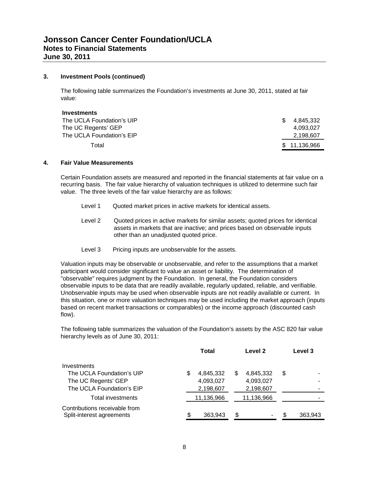## **3. Investment Pools (continued)**

The following table summarizes the Foundation's investments at June 30, 2011, stated at fair value:

| Investments               |     |              |
|---------------------------|-----|--------------|
| The UCLA Foundation's UIP | \$. | 4.845.332    |
| The UC Regents' GEP       |     | 4.093.027    |
| The UCLA Foundation's EIP |     | 2,198,607    |
| Total                     |     | \$11,136,966 |

# **4. Fair Value Measurements**

Certain Foundation assets are measured and reported in the financial statements at fair value on a recurring basis. The fair value hierarchy of valuation techniques is utilized to determine such fair value. The three levels of the fair value hierarchy are as follows:

- Level 1 Quoted market prices in active markets for identical assets.
- Level 2 Quoted prices in active markets for similar assets; quoted prices for identical assets in markets that are inactive; and prices based on observable inputs other than an unadjusted quoted price.
- Level 3 Pricing inputs are unobservable for the assets.

Valuation inputs may be observable or unobservable, and refer to the assumptions that a market participant would consider significant to value an asset or liability. The determination of "observable" requires judgment by the Foundation. In general, the Foundation considers observable inputs to be data that are readily available, regularly updated, reliable, and verifiable. Unobservable inputs may be used when observable inputs are not readily available or current. In this situation, one or more valuation techniques may be used including the market approach (inputs based on recent market transactions or comparables) or the income approach (discounted cash flow).

The following table summarizes the valuation of the Foundation's assets by the ASC 820 fair value hierarchy levels as of June 30, 2011:

|                                                            | <b>Total</b><br>Level 2 |            |    |            |    |                          |  |  | Level 3 |  |  |  |  |  |  |  |  |  |  |  |  |  |  |  |  |
|------------------------------------------------------------|-------------------------|------------|----|------------|----|--------------------------|--|--|---------|--|--|--|--|--|--|--|--|--|--|--|--|--|--|--|--|
| Investments                                                |                         |            |    |            |    |                          |  |  |         |  |  |  |  |  |  |  |  |  |  |  |  |  |  |  |  |
| The UCLA Foundation's UIP                                  | S                       | 4,845,332  | S  | 4,845,332  | \$ | $\overline{\phantom{0}}$ |  |  |         |  |  |  |  |  |  |  |  |  |  |  |  |  |  |  |  |
| The UC Regents' GEP                                        |                         | 4,093,027  |    | 4,093,027  |    |                          |  |  |         |  |  |  |  |  |  |  |  |  |  |  |  |  |  |  |  |
| The UCLA Foundation's EIP                                  |                         | 2,198,607  |    | 2,198,607  |    |                          |  |  |         |  |  |  |  |  |  |  |  |  |  |  |  |  |  |  |  |
| Total investments                                          |                         | 11,136,966 |    | 11,136,966 |    |                          |  |  |         |  |  |  |  |  |  |  |  |  |  |  |  |  |  |  |  |
| Contributions receivable from<br>Split-interest agreements |                         | 363,943    | \$ |            |    | 363,943                  |  |  |         |  |  |  |  |  |  |  |  |  |  |  |  |  |  |  |  |